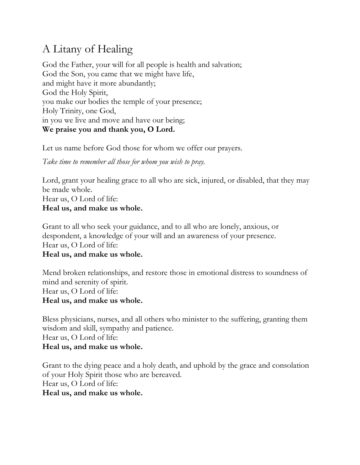# A Litany of Healing

God the Father, your will for all people is health and salvation; God the Son, you came that we might have life, and might have it more abundantly; God the Holy Spirit, you make our bodies the temple of your presence; Holy Trinity, one God, in you we live and move and have our being; **We praise you and thank you, O Lord.**

Let us name before God those for whom we offer our prayers.

*Take time to remember all those for whom you wish to pray.* 

Lord, grant your healing grace to all who are sick, injured, or disabled, that they may be made whole. Hear us, O Lord of life: **Heal us, and make us whole.**

Grant to all who seek your guidance, and to all who are lonely, anxious, or despondent, a knowledge of your will and an awareness of your presence. Hear us, O Lord of life: **Heal us, and make us whole.**

Mend broken relationships, and restore those in emotional distress to soundness of mind and serenity of spirit. Hear us, O Lord of life: **Heal us, and make us whole.**

Bless physicians, nurses, and all others who minister to the suffering, granting them wisdom and skill, sympathy and patience. Hear us, O Lord of life: **Heal us, and make us whole.**

Grant to the dying peace and a holy death, and uphold by the grace and consolation of your Holy Spirit those who are bereaved. Hear us, O Lord of life: **Heal us, and make us whole.**